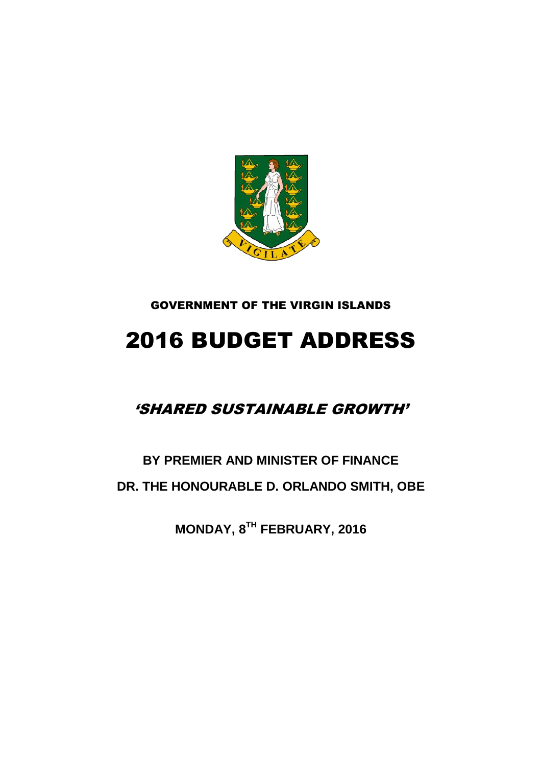

### GOVERNMENT OF THE VIRGIN ISLANDS

# 2016 BUDGET ADDRESS

### 'SHARED SUSTAINABLE GROWTH'

## **BY PREMIER AND MINISTER OF FINANCE DR. THE HONOURABLE D. ORLANDO SMITH, OBE**

**MONDAY, 8 TH FEBRUARY, 2016**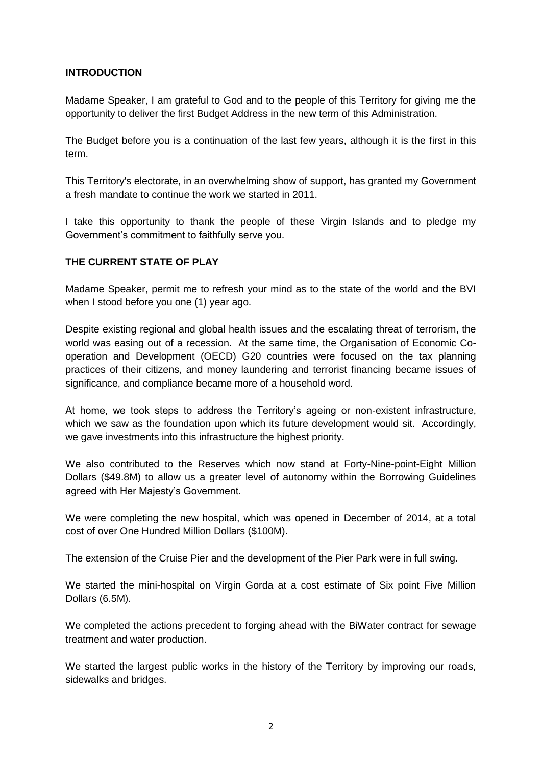#### **INTRODUCTION**

Madame Speaker, I am grateful to God and to the people of this Territory for giving me the opportunity to deliver the first Budget Address in the new term of this Administration.

The Budget before you is a continuation of the last few years, although it is the first in this term.

This Territory's electorate, in an overwhelming show of support, has granted my Government a fresh mandate to continue the work we started in 2011.

I take this opportunity to thank the people of these Virgin Islands and to pledge my Government's commitment to faithfully serve you.

#### **THE CURRENT STATE OF PLAY**

Madame Speaker, permit me to refresh your mind as to the state of the world and the BVI when I stood before you one (1) year ago.

Despite existing regional and global health issues and the escalating threat of terrorism, the world was easing out of a recession. At the same time, the Organisation of Economic Cooperation and Development (OECD) G20 countries were focused on the tax planning practices of their citizens, and money laundering and terrorist financing became issues of significance, and compliance became more of a household word.

At home, we took steps to address the Territory's ageing or non-existent infrastructure, which we saw as the foundation upon which its future development would sit. Accordingly, we gave investments into this infrastructure the highest priority.

We also contributed to the Reserves which now stand at Forty-Nine-point-Eight Million Dollars (\$49.8M) to allow us a greater level of autonomy within the Borrowing Guidelines agreed with Her Majesty's Government.

We were completing the new hospital, which was opened in December of 2014, at a total cost of over One Hundred Million Dollars (\$100M).

The extension of the Cruise Pier and the development of the Pier Park were in full swing.

We started the mini-hospital on Virgin Gorda at a cost estimate of Six point Five Million Dollars (6.5M).

We completed the actions precedent to forging ahead with the BiWater contract for sewage treatment and water production.

We started the largest public works in the history of the Territory by improving our roads, sidewalks and bridges.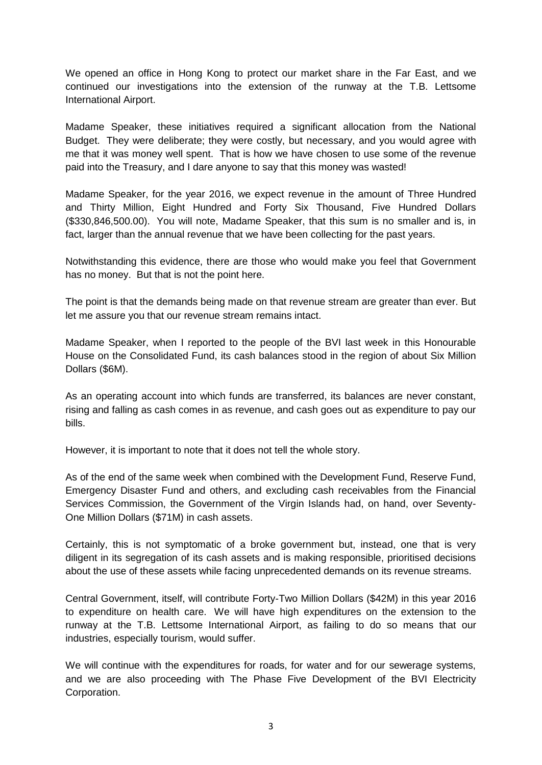We opened an office in Hong Kong to protect our market share in the Far East, and we continued our investigations into the extension of the runway at the T.B. Lettsome International Airport.

Madame Speaker, these initiatives required a significant allocation from the National Budget. They were deliberate; they were costly, but necessary, and you would agree with me that it was money well spent. That is how we have chosen to use some of the revenue paid into the Treasury, and I dare anyone to say that this money was wasted!

Madame Speaker, for the year 2016, we expect revenue in the amount of Three Hundred and Thirty Million, Eight Hundred and Forty Six Thousand, Five Hundred Dollars (\$330,846,500.00). You will note, Madame Speaker, that this sum is no smaller and is, in fact, larger than the annual revenue that we have been collecting for the past years.

Notwithstanding this evidence, there are those who would make you feel that Government has no money. But that is not the point here.

The point is that the demands being made on that revenue stream are greater than ever. But let me assure you that our revenue stream remains intact.

Madame Speaker, when I reported to the people of the BVI last week in this Honourable House on the Consolidated Fund, its cash balances stood in the region of about Six Million Dollars (\$6M).

As an operating account into which funds are transferred, its balances are never constant, rising and falling as cash comes in as revenue, and cash goes out as expenditure to pay our bills.

However, it is important to note that it does not tell the whole story.

As of the end of the same week when combined with the Development Fund, Reserve Fund, Emergency Disaster Fund and others, and excluding cash receivables from the Financial Services Commission, the Government of the Virgin Islands had, on hand, over Seventy-One Million Dollars (\$71M) in cash assets.

Certainly, this is not symptomatic of a broke government but, instead, one that is very diligent in its segregation of its cash assets and is making responsible, prioritised decisions about the use of these assets while facing unprecedented demands on its revenue streams.

Central Government, itself, will contribute Forty-Two Million Dollars (\$42M) in this year 2016 to expenditure on health care. We will have high expenditures on the extension to the runway at the T.B. Lettsome International Airport, as failing to do so means that our industries, especially tourism, would suffer.

We will continue with the expenditures for roads, for water and for our sewerage systems, and we are also proceeding with The Phase Five Development of the BVI Electricity Corporation.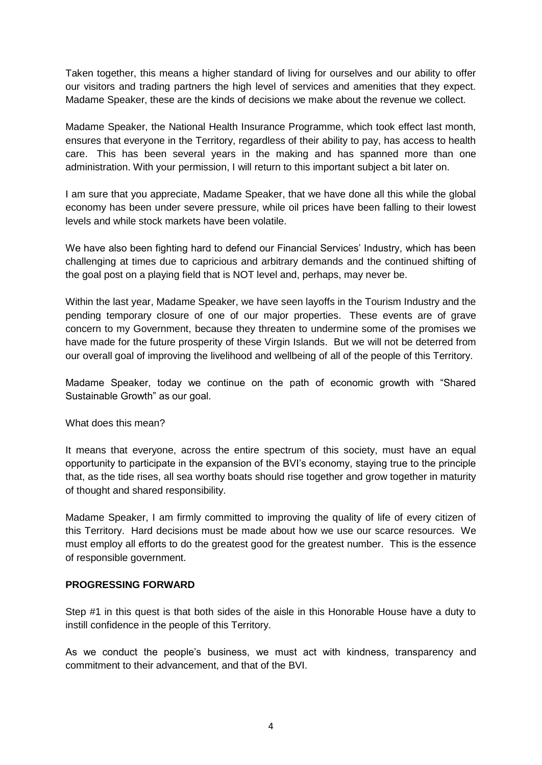Taken together, this means a higher standard of living for ourselves and our ability to offer our visitors and trading partners the high level of services and amenities that they expect. Madame Speaker, these are the kinds of decisions we make about the revenue we collect.

Madame Speaker, the National Health Insurance Programme, which took effect last month, ensures that everyone in the Territory, regardless of their ability to pay, has access to health care. This has been several years in the making and has spanned more than one administration. With your permission, I will return to this important subject a bit later on.

I am sure that you appreciate, Madame Speaker, that we have done all this while the global economy has been under severe pressure, while oil prices have been falling to their lowest levels and while stock markets have been volatile.

We have also been fighting hard to defend our Financial Services' Industry, which has been challenging at times due to capricious and arbitrary demands and the continued shifting of the goal post on a playing field that is NOT level and, perhaps, may never be.

Within the last year, Madame Speaker, we have seen layoffs in the Tourism Industry and the pending temporary closure of one of our major properties. These events are of grave concern to my Government, because they threaten to undermine some of the promises we have made for the future prosperity of these Virgin Islands. But we will not be deterred from our overall goal of improving the livelihood and wellbeing of all of the people of this Territory.

Madame Speaker, today we continue on the path of economic growth with "Shared Sustainable Growth" as our goal.

What does this mean?

It means that everyone, across the entire spectrum of this society, must have an equal opportunity to participate in the expansion of the BVI's economy, staying true to the principle that, as the tide rises, all sea worthy boats should rise together and grow together in maturity of thought and shared responsibility.

Madame Speaker, I am firmly committed to improving the quality of life of every citizen of this Territory. Hard decisions must be made about how we use our scarce resources. We must employ all efforts to do the greatest good for the greatest number. This is the essence of responsible government.

#### **PROGRESSING FORWARD**

Step #1 in this quest is that both sides of the aisle in this Honorable House have a duty to instill confidence in the people of this Territory.

As we conduct the people's business, we must act with kindness, transparency and commitment to their advancement, and that of the BVI.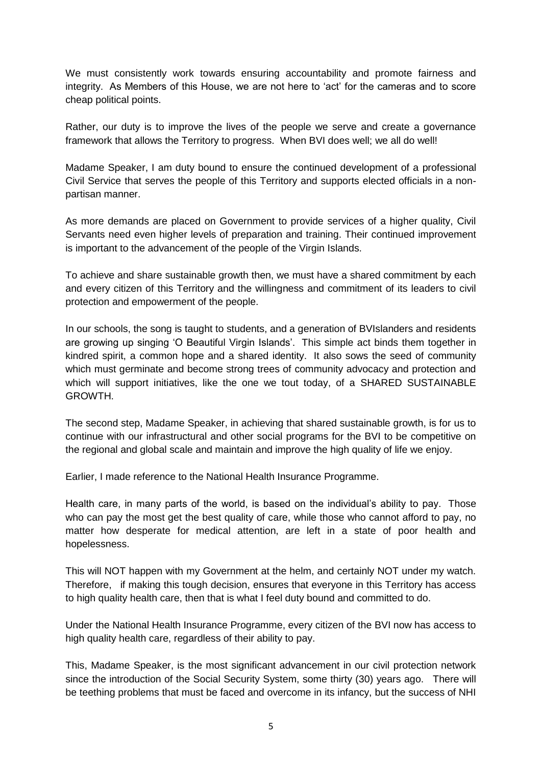We must consistently work towards ensuring accountability and promote fairness and integrity. As Members of this House, we are not here to 'act' for the cameras and to score cheap political points.

Rather, our duty is to improve the lives of the people we serve and create a governance framework that allows the Territory to progress. When BVI does well; we all do well!

Madame Speaker, I am duty bound to ensure the continued development of a professional Civil Service that serves the people of this Territory and supports elected officials in a nonpartisan manner.

As more demands are placed on Government to provide services of a higher quality, Civil Servants need even higher levels of preparation and training. Their continued improvement is important to the advancement of the people of the Virgin Islands.

To achieve and share sustainable growth then, we must have a shared commitment by each and every citizen of this Territory and the willingness and commitment of its leaders to civil protection and empowerment of the people.

In our schools, the song is taught to students, and a generation of BVIslanders and residents are growing up singing 'O Beautiful Virgin Islands'. This simple act binds them together in kindred spirit, a common hope and a shared identity. It also sows the seed of community which must germinate and become strong trees of community advocacy and protection and which will support initiatives, like the one we tout today, of a SHARED SUSTAINABLE GROWTH.

The second step, Madame Speaker, in achieving that shared sustainable growth, is for us to continue with our infrastructural and other social programs for the BVI to be competitive on the regional and global scale and maintain and improve the high quality of life we enjoy.

Earlier, I made reference to the National Health Insurance Programme.

Health care, in many parts of the world, is based on the individual's ability to pay. Those who can pay the most get the best quality of care, while those who cannot afford to pay, no matter how desperate for medical attention, are left in a state of poor health and hopelessness.

This will NOT happen with my Government at the helm, and certainly NOT under my watch. Therefore, if making this tough decision, ensures that everyone in this Territory has access to high quality health care, then that is what I feel duty bound and committed to do.

Under the National Health Insurance Programme, every citizen of the BVI now has access to high quality health care, regardless of their ability to pay.

This, Madame Speaker, is the most significant advancement in our civil protection network since the introduction of the Social Security System, some thirty (30) years ago. There will be teething problems that must be faced and overcome in its infancy, but the success of NHI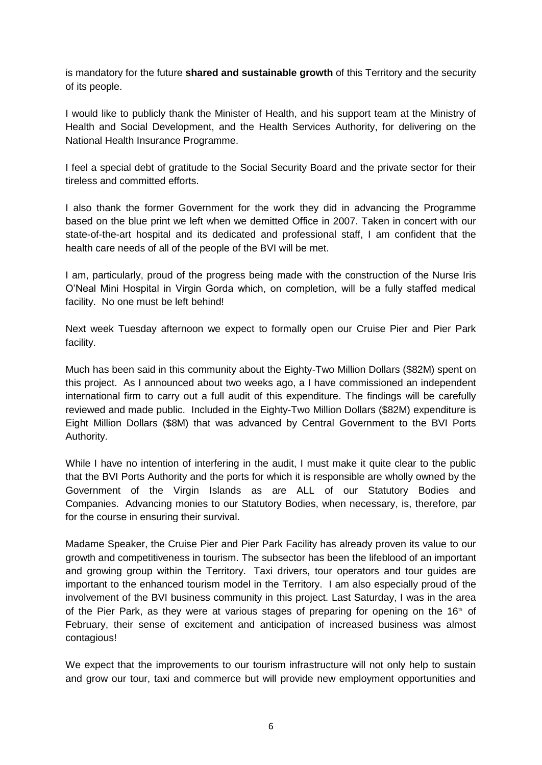is mandatory for the future **shared and sustainable growth** of this Territory and the security of its people.

I would like to publicly thank the Minister of Health, and his support team at the Ministry of Health and Social Development, and the Health Services Authority, for delivering on the National Health Insurance Programme.

I feel a special debt of gratitude to the Social Security Board and the private sector for their tireless and committed efforts.

I also thank the former Government for the work they did in advancing the Programme based on the blue print we left when we demitted Office in 2007. Taken in concert with our state-of-the-art hospital and its dedicated and professional staff, I am confident that the health care needs of all of the people of the BVI will be met.

I am, particularly, proud of the progress being made with the construction of the Nurse Iris O'Neal Mini Hospital in Virgin Gorda which, on completion, will be a fully staffed medical facility. No one must be left behind!

Next week Tuesday afternoon we expect to formally open our Cruise Pier and Pier Park facility.

Much has been said in this community about the Eighty-Two Million Dollars (\$82M) spent on this project. As I announced about two weeks ago, a I have commissioned an independent international firm to carry out a full audit of this expenditure. The findings will be carefully reviewed and made public. Included in the Eighty-Two Million Dollars (\$82M) expenditure is Eight Million Dollars (\$8M) that was advanced by Central Government to the BVI Ports Authority.

While I have no intention of interfering in the audit, I must make it quite clear to the public that the BVI Ports Authority and the ports for which it is responsible are wholly owned by the Government of the Virgin Islands as are ALL of our Statutory Bodies and Companies. Advancing monies to our Statutory Bodies, when necessary, is, therefore, par for the course in ensuring their survival.

Madame Speaker, the Cruise Pier and Pier Park Facility has already proven its value to our growth and competitiveness in tourism. The subsector has been the lifeblood of an important and growing group within the Territory. Taxi drivers, tour operators and tour guides are important to the enhanced tourism model in the Territory. I am also especially proud of the involvement of the BVI business community in this project. Last Saturday, I was in the area of the Pier Park, as they were at various stages of preparing for opening on the  $16<sup>th</sup>$  of February, their sense of excitement and anticipation of increased business was almost contagious!

We expect that the improvements to our tourism infrastructure will not only help to sustain and grow our tour, taxi and commerce but will provide new employment opportunities and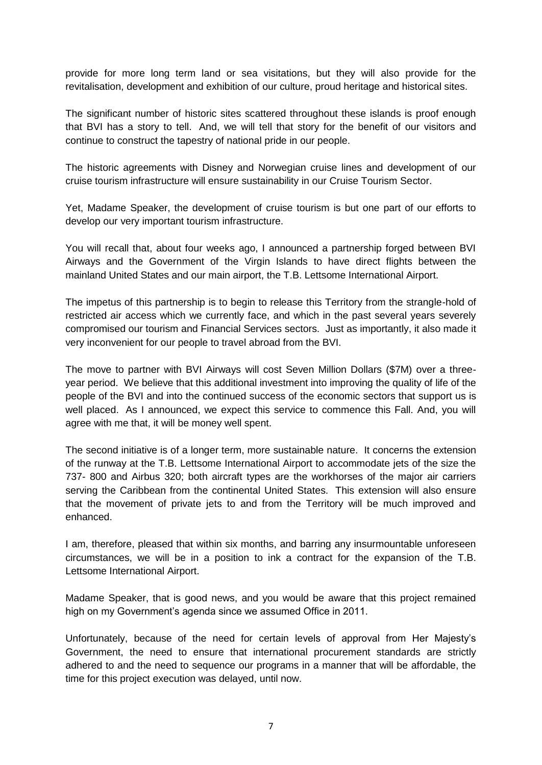provide for more long term land or sea visitations, but they will also provide for the revitalisation, development and exhibition of our culture, proud heritage and historical sites.

The significant number of historic sites scattered throughout these islands is proof enough that BVI has a story to tell. And, we will tell that story for the benefit of our visitors and continue to construct the tapestry of national pride in our people.

The historic agreements with Disney and Norwegian cruise lines and development of our cruise tourism infrastructure will ensure sustainability in our Cruise Tourism Sector.

Yet, Madame Speaker, the development of cruise tourism is but one part of our efforts to develop our very important tourism infrastructure.

You will recall that, about four weeks ago, I announced a partnership forged between BVI Airways and the Government of the Virgin Islands to have direct flights between the mainland United States and our main airport, the T.B. Lettsome International Airport.

The impetus of this partnership is to begin to release this Territory from the strangle-hold of restricted air access which we currently face, and which in the past several years severely compromised our tourism and Financial Services sectors. Just as importantly, it also made it very inconvenient for our people to travel abroad from the BVI.

The move to partner with BVI Airways will cost Seven Million Dollars (\$7M) over a threeyear period. We believe that this additional investment into improving the quality of life of the people of the BVI and into the continued success of the economic sectors that support us is well placed. As I announced, we expect this service to commence this Fall. And, you will agree with me that, it will be money well spent.

The second initiative is of a longer term, more sustainable nature. It concerns the extension of the runway at the T.B. Lettsome International Airport to accommodate jets of the size the 737- 800 and Airbus 320; both aircraft types are the workhorses of the major air carriers serving the Caribbean from the continental United States. This extension will also ensure that the movement of private jets to and from the Territory will be much improved and enhanced.

I am, therefore, pleased that within six months, and barring any insurmountable unforeseen circumstances, we will be in a position to ink a contract for the expansion of the T.B. Lettsome International Airport.

Madame Speaker, that is good news, and you would be aware that this project remained high on my Government's agenda since we assumed Office in 2011.

Unfortunately, because of the need for certain levels of approval from Her Majesty's Government, the need to ensure that international procurement standards are strictly adhered to and the need to sequence our programs in a manner that will be affordable, the time for this project execution was delayed, until now.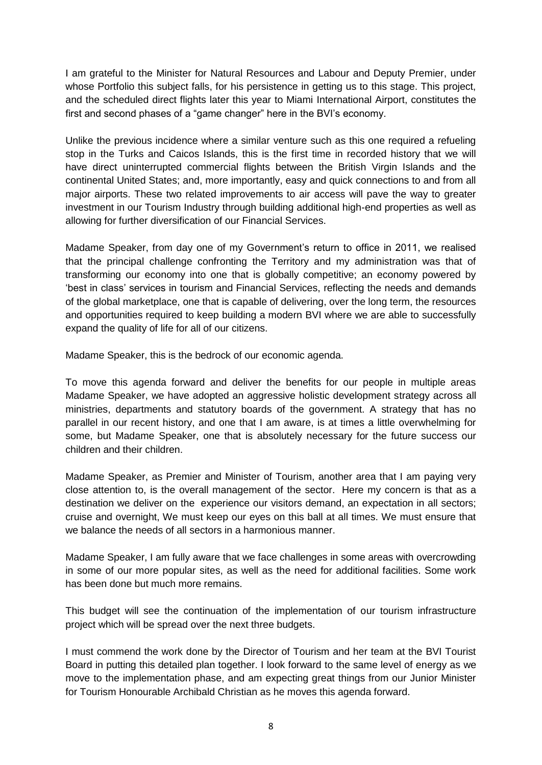I am grateful to the Minister for Natural Resources and Labour and Deputy Premier, under whose Portfolio this subject falls, for his persistence in getting us to this stage. This project, and the scheduled direct flights later this year to Miami International Airport, constitutes the first and second phases of a "game changer" here in the BVI's economy.

Unlike the previous incidence where a similar venture such as this one required a refueling stop in the Turks and Caicos Islands, this is the first time in recorded history that we will have direct uninterrupted commercial flights between the British Virgin Islands and the continental United States; and, more importantly, easy and quick connections to and from all major airports. These two related improvements to air access will pave the way to greater investment in our Tourism Industry through building additional high-end properties as well as allowing for further diversification of our Financial Services.

Madame Speaker, from day one of my Government's return to office in 2011, we realised that the principal challenge confronting the Territory and my administration was that of transforming our economy into one that is globally competitive; an economy powered by 'best in class' services in tourism and Financial Services, reflecting the needs and demands of the global marketplace, one that is capable of delivering, over the long term, the resources and opportunities required to keep building a modern BVI where we are able to successfully expand the quality of life for all of our citizens.

Madame Speaker, this is the bedrock of our economic agenda.

To move this agenda forward and deliver the benefits for our people in multiple areas Madame Speaker, we have adopted an aggressive holistic development strategy across all ministries, departments and statutory boards of the government. A strategy that has no parallel in our recent history, and one that I am aware, is at times a little overwhelming for some, but Madame Speaker, one that is absolutely necessary for the future success our children and their children.

Madame Speaker, as Premier and Minister of Tourism, another area that I am paying very close attention to, is the overall management of the sector. Here my concern is that as a destination we deliver on the experience our visitors demand, an expectation in all sectors; cruise and overnight, We must keep our eyes on this ball at all times. We must ensure that we balance the needs of all sectors in a harmonious manner.

Madame Speaker, I am fully aware that we face challenges in some areas with overcrowding in some of our more popular sites, as well as the need for additional facilities. Some work has been done but much more remains.

This budget will see the continuation of the implementation of our tourism infrastructure project which will be spread over the next three budgets.

I must commend the work done by the Director of Tourism and her team at the BVI Tourist Board in putting this detailed plan together. I look forward to the same level of energy as we move to the implementation phase, and am expecting great things from our Junior Minister for Tourism Honourable Archibald Christian as he moves this agenda forward.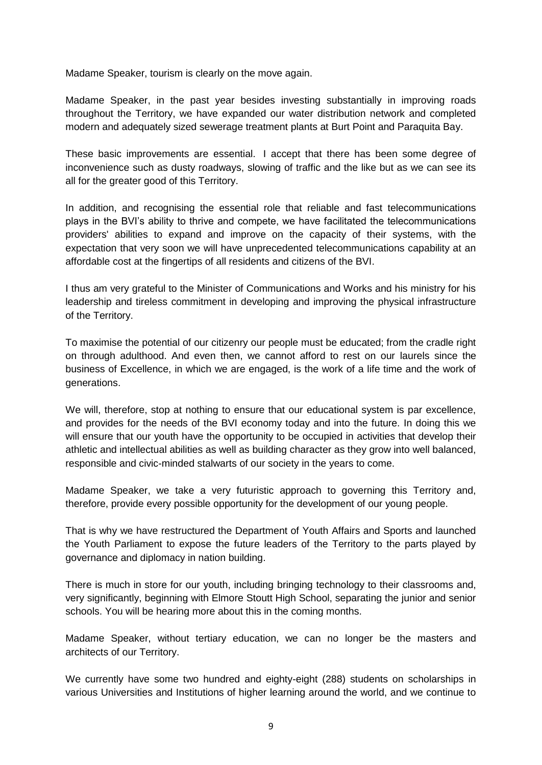Madame Speaker, tourism is clearly on the move again.

Madame Speaker, in the past year besides investing substantially in improving roads throughout the Territory, we have expanded our water distribution network and completed modern and adequately sized sewerage treatment plants at Burt Point and Paraquita Bay.

These basic improvements are essential. I accept that there has been some degree of inconvenience such as dusty roadways, slowing of traffic and the like but as we can see its all for the greater good of this Territory.

In addition, and recognising the essential role that reliable and fast telecommunications plays in the BVI's ability to thrive and compete, we have facilitated the telecommunications providers' abilities to expand and improve on the capacity of their systems, with the expectation that very soon we will have unprecedented telecommunications capability at an affordable cost at the fingertips of all residents and citizens of the BVI.

I thus am very grateful to the Minister of Communications and Works and his ministry for his leadership and tireless commitment in developing and improving the physical infrastructure of the Territory.

To maximise the potential of our citizenry our people must be educated; from the cradle right on through adulthood. And even then, we cannot afford to rest on our laurels since the business of Excellence, in which we are engaged, is the work of a life time and the work of generations.

We will, therefore, stop at nothing to ensure that our educational system is par excellence, and provides for the needs of the BVI economy today and into the future. In doing this we will ensure that our youth have the opportunity to be occupied in activities that develop their athletic and intellectual abilities as well as building character as they grow into well balanced, responsible and civic-minded stalwarts of our society in the years to come.

Madame Speaker, we take a very futuristic approach to governing this Territory and, therefore, provide every possible opportunity for the development of our young people.

That is why we have restructured the Department of Youth Affairs and Sports and launched the Youth Parliament to expose the future leaders of the Territory to the parts played by governance and diplomacy in nation building.

There is much in store for our youth, including bringing technology to their classrooms and, very significantly, beginning with Elmore Stoutt High School, separating the junior and senior schools. You will be hearing more about this in the coming months.

Madame Speaker, without tertiary education, we can no longer be the masters and architects of our Territory.

We currently have some two hundred and eighty-eight (288) students on scholarships in various Universities and Institutions of higher learning around the world, and we continue to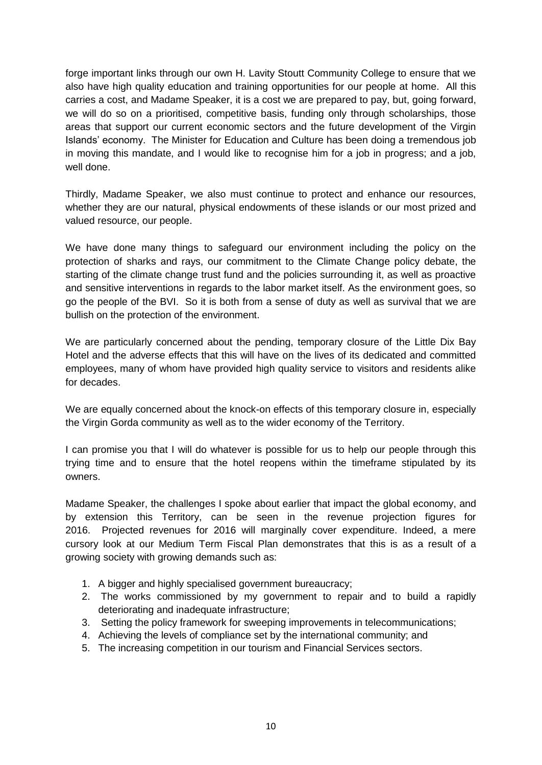forge important links through our own H. Lavity Stoutt Community College to ensure that we also have high quality education and training opportunities for our people at home. All this carries a cost, and Madame Speaker, it is a cost we are prepared to pay, but, going forward, we will do so on a prioritised, competitive basis, funding only through scholarships, those areas that support our current economic sectors and the future development of the Virgin Islands' economy. The Minister for Education and Culture has been doing a tremendous job in moving this mandate, and I would like to recognise him for a job in progress; and a job, well done.

Thirdly, Madame Speaker, we also must continue to protect and enhance our resources, whether they are our natural, physical endowments of these islands or our most prized and valued resource, our people.

We have done many things to safeguard our environment including the policy on the protection of sharks and rays, our commitment to the Climate Change policy debate, the starting of the climate change trust fund and the policies surrounding it, as well as proactive and sensitive interventions in regards to the labor market itself. As the environment goes, so go the people of the BVI. So it is both from a sense of duty as well as survival that we are bullish on the protection of the environment.

We are particularly concerned about the pending, temporary closure of the Little Dix Bay Hotel and the adverse effects that this will have on the lives of its dedicated and committed employees, many of whom have provided high quality service to visitors and residents alike for decades.

We are equally concerned about the knock-on effects of this temporary closure in, especially the Virgin Gorda community as well as to the wider economy of the Territory.

I can promise you that I will do whatever is possible for us to help our people through this trying time and to ensure that the hotel reopens within the timeframe stipulated by its owners.

Madame Speaker, the challenges I spoke about earlier that impact the global economy, and by extension this Territory, can be seen in the revenue projection figures for 2016. Projected revenues for 2016 will marginally cover expenditure. Indeed, a mere cursory look at our Medium Term Fiscal Plan demonstrates that this is as a result of a growing society with growing demands such as:

- 1. A bigger and highly specialised government bureaucracy:
- 2. The works commissioned by my government to repair and to build a rapidly deteriorating and inadequate infrastructure;
- 3. Setting the policy framework for sweeping improvements in telecommunications;
- 4. Achieving the levels of compliance set by the international community; and
- 5. The increasing competition in our tourism and Financial Services sectors.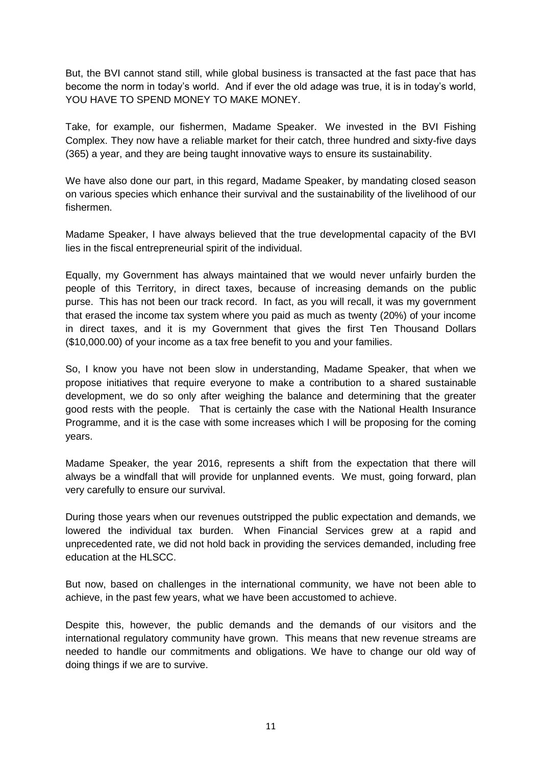But, the BVI cannot stand still, while global business is transacted at the fast pace that has become the norm in today's world. And if ever the old adage was true, it is in today's world, YOU HAVE TO SPEND MONEY TO MAKE MONEY.

Take, for example, our fishermen, Madame Speaker. We invested in the BVI Fishing Complex. They now have a reliable market for their catch, three hundred and sixty-five days (365) a year, and they are being taught innovative ways to ensure its sustainability.

We have also done our part, in this regard, Madame Speaker, by mandating closed season on various species which enhance their survival and the sustainability of the livelihood of our fishermen.

Madame Speaker, I have always believed that the true developmental capacity of the BVI lies in the fiscal entrepreneurial spirit of the individual.

Equally, my Government has always maintained that we would never unfairly burden the people of this Territory, in direct taxes, because of increasing demands on the public purse. This has not been our track record. In fact, as you will recall, it was my government that erased the income tax system where you paid as much as twenty (20%) of your income in direct taxes, and it is my Government that gives the first Ten Thousand Dollars (\$10,000.00) of your income as a tax free benefit to you and your families.

So, I know you have not been slow in understanding, Madame Speaker, that when we propose initiatives that require everyone to make a contribution to a shared sustainable development, we do so only after weighing the balance and determining that the greater good rests with the people. That is certainly the case with the National Health Insurance Programme, and it is the case with some increases which I will be proposing for the coming years.

Madame Speaker, the year 2016, represents a shift from the expectation that there will always be a windfall that will provide for unplanned events. We must, going forward, plan very carefully to ensure our survival.

During those years when our revenues outstripped the public expectation and demands, we lowered the individual tax burden. When Financial Services grew at a rapid and unprecedented rate, we did not hold back in providing the services demanded, including free education at the HLSCC.

But now, based on challenges in the international community, we have not been able to achieve, in the past few years, what we have been accustomed to achieve.

Despite this, however, the public demands and the demands of our visitors and the international regulatory community have grown. This means that new revenue streams are needed to handle our commitments and obligations. We have to change our old way of doing things if we are to survive.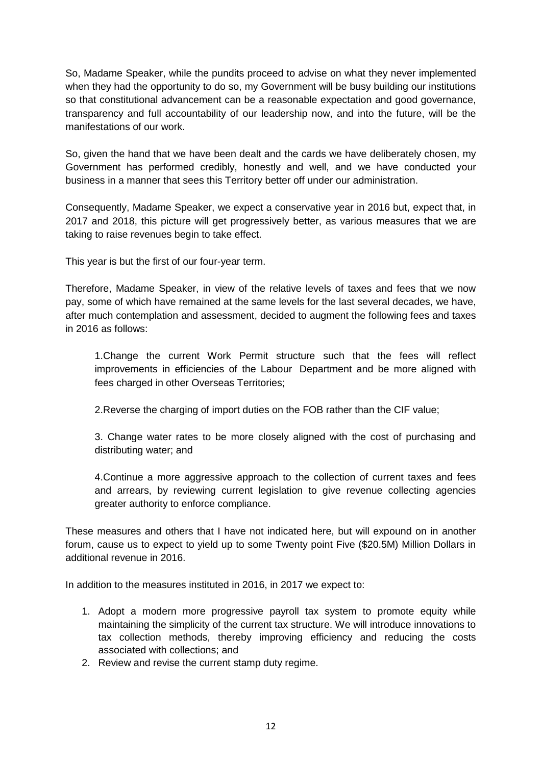So, Madame Speaker, while the pundits proceed to advise on what they never implemented when they had the opportunity to do so, my Government will be busy building our institutions so that constitutional advancement can be a reasonable expectation and good governance, transparency and full accountability of our leadership now, and into the future, will be the manifestations of our work.

So, given the hand that we have been dealt and the cards we have deliberately chosen, my Government has performed credibly, honestly and well, and we have conducted your business in a manner that sees this Territory better off under our administration.

Consequently, Madame Speaker, we expect a conservative year in 2016 but, expect that, in 2017 and 2018, this picture will get progressively better, as various measures that we are taking to raise revenues begin to take effect.

This year is but the first of our four-year term.

Therefore, Madame Speaker, in view of the relative levels of taxes and fees that we now pay, some of which have remained at the same levels for the last several decades, we have, after much contemplation and assessment, decided to augment the following fees and taxes in 2016 as follows:

1.Change the current Work Permit structure such that the fees will reflect improvements in efficiencies of the Labour Department and be more aligned with fees charged in other Overseas Territories;

2.Reverse the charging of import duties on the FOB rather than the CIF value;

3. Change water rates to be more closely aligned with the cost of purchasing and distributing water; and

4.Continue a more aggressive approach to the collection of current taxes and fees and arrears, by reviewing current legislation to give revenue collecting agencies greater authority to enforce compliance.

These measures and others that I have not indicated here, but will expound on in another forum, cause us to expect to yield up to some Twenty point Five (\$20.5M) Million Dollars in additional revenue in 2016.

In addition to the measures instituted in 2016, in 2017 we expect to:

- 1. Adopt a modern more progressive payroll tax system to promote equity while maintaining the simplicity of the current tax structure. We will introduce innovations to tax collection methods, thereby improving efficiency and reducing the costs associated with collections; and
- 2. Review and revise the current stamp duty regime.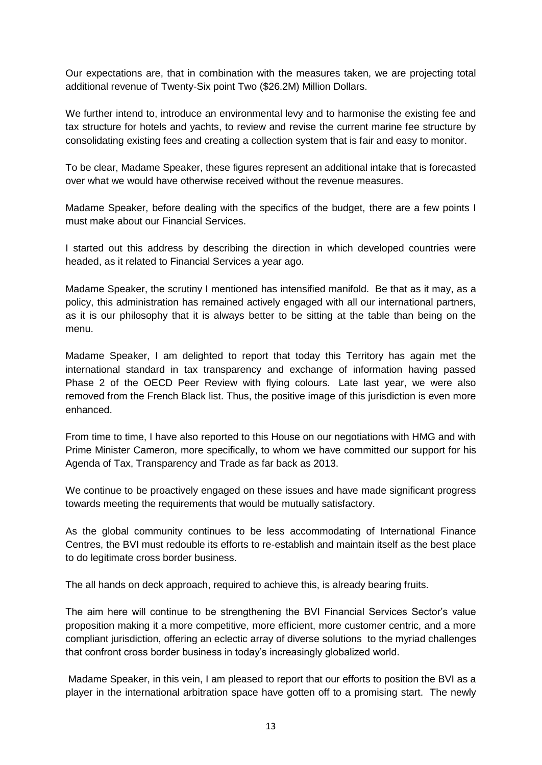Our expectations are, that in combination with the measures taken, we are projecting total additional revenue of Twenty-Six point Two (\$26.2M) Million Dollars.

We further intend to, introduce an environmental levy and to harmonise the existing fee and tax structure for hotels and yachts, to review and revise the current marine fee structure by consolidating existing fees and creating a collection system that is fair and easy to monitor.

To be clear, Madame Speaker, these figures represent an additional intake that is forecasted over what we would have otherwise received without the revenue measures.

Madame Speaker, before dealing with the specifics of the budget, there are a few points I must make about our Financial Services.

I started out this address by describing the direction in which developed countries were headed, as it related to Financial Services a year ago.

Madame Speaker, the scrutiny I mentioned has intensified manifold. Be that as it may, as a policy, this administration has remained actively engaged with all our international partners, as it is our philosophy that it is always better to be sitting at the table than being on the menu.

Madame Speaker, I am delighted to report that today this Territory has again met the international standard in tax transparency and exchange of information having passed Phase 2 of the OECD Peer Review with flying colours. Late last year, we were also removed from the French Black list. Thus, the positive image of this jurisdiction is even more enhanced.

From time to time, I have also reported to this House on our negotiations with HMG and with Prime Minister Cameron, more specifically, to whom we have committed our support for his Agenda of Tax, Transparency and Trade as far back as 2013.

We continue to be proactively engaged on these issues and have made significant progress towards meeting the requirements that would be mutually satisfactory.

As the global community continues to be less accommodating of International Finance Centres, the BVI must redouble its efforts to re-establish and maintain itself as the best place to do legitimate cross border business.

The all hands on deck approach, required to achieve this, is already bearing fruits.

The aim here will continue to be strengthening the BVI Financial Services Sector's value proposition making it a more competitive, more efficient, more customer centric, and a more compliant jurisdiction, offering an eclectic array of diverse solutions to the myriad challenges that confront cross border business in today's increasingly globalized world.

Madame Speaker, in this vein, I am pleased to report that our efforts to position the BVI as a player in the international arbitration space have gotten off to a promising start. The newly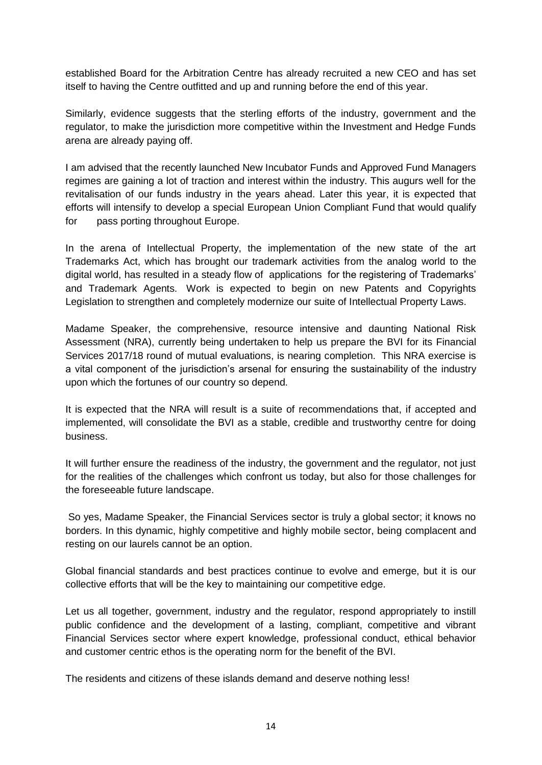established Board for the Arbitration Centre has already recruited a new CEO and has set itself to having the Centre outfitted and up and running before the end of this year.

Similarly, evidence suggests that the sterling efforts of the industry, government and the regulator, to make the jurisdiction more competitive within the Investment and Hedge Funds arena are already paying off.

I am advised that the recently launched New Incubator Funds and Approved Fund Managers regimes are gaining a lot of traction and interest within the industry. This augurs well for the revitalisation of our funds industry in the years ahead. Later this year, it is expected that efforts will intensify to develop a special European Union Compliant Fund that would qualify for pass porting throughout Europe.

In the arena of Intellectual Property, the implementation of the new state of the art Trademarks Act, which has brought our trademark activities from the analog world to the digital world, has resulted in a steady flow of applications for the registering of Trademarks' and Trademark Agents. Work is expected to begin on new Patents and Copyrights Legislation to strengthen and completely modernize our suite of Intellectual Property Laws.

Madame Speaker, the comprehensive, resource intensive and daunting National Risk Assessment (NRA), currently being undertaken to help us prepare the BVI for its Financial Services 2017/18 round of mutual evaluations, is nearing completion. This NRA exercise is a vital component of the jurisdiction's arsenal for ensuring the sustainability of the industry upon which the fortunes of our country so depend.

It is expected that the NRA will result is a suite of recommendations that, if accepted and implemented, will consolidate the BVI as a stable, credible and trustworthy centre for doing business.

It will further ensure the readiness of the industry, the government and the regulator, not just for the realities of the challenges which confront us today, but also for those challenges for the foreseeable future landscape.

So yes, Madame Speaker, the Financial Services sector is truly a global sector; it knows no borders. In this dynamic, highly competitive and highly mobile sector, being complacent and resting on our laurels cannot be an option.

Global financial standards and best practices continue to evolve and emerge, but it is our collective efforts that will be the key to maintaining our competitive edge.

Let us all together, government, industry and the regulator, respond appropriately to instill public confidence and the development of a lasting, compliant, competitive and vibrant Financial Services sector where expert knowledge, professional conduct, ethical behavior and customer centric ethos is the operating norm for the benefit of the BVI.

The residents and citizens of these islands demand and deserve nothing less!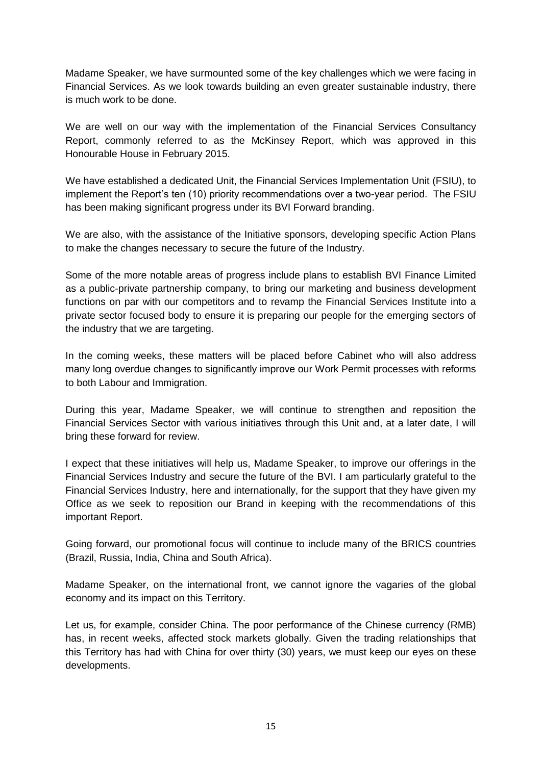Madame Speaker, we have surmounted some of the key challenges which we were facing in Financial Services. As we look towards building an even greater sustainable industry, there is much work to be done.

We are well on our way with the implementation of the Financial Services Consultancy Report, commonly referred to as the McKinsey Report, which was approved in this Honourable House in February 2015.

We have established a dedicated Unit, the Financial Services Implementation Unit (FSIU), to implement the Report's ten (10) priority recommendations over a two-year period. The FSIU has been making significant progress under its BVI Forward branding.

We are also, with the assistance of the Initiative sponsors, developing specific Action Plans to make the changes necessary to secure the future of the Industry.

Some of the more notable areas of progress include plans to establish BVI Finance Limited as a public-private partnership company, to bring our marketing and business development functions on par with our competitors and to revamp the Financial Services Institute into a private sector focused body to ensure it is preparing our people for the emerging sectors of the industry that we are targeting.

In the coming weeks, these matters will be placed before Cabinet who will also address many long overdue changes to significantly improve our Work Permit processes with reforms to both Labour and Immigration.

During this year, Madame Speaker, we will continue to strengthen and reposition the Financial Services Sector with various initiatives through this Unit and, at a later date, I will bring these forward for review.

I expect that these initiatives will help us, Madame Speaker, to improve our offerings in the Financial Services Industry and secure the future of the BVI. I am particularly grateful to the Financial Services Industry, here and internationally, for the support that they have given my Office as we seek to reposition our Brand in keeping with the recommendations of this important Report.

Going forward, our promotional focus will continue to include many of the BRICS countries (Brazil, Russia, India, China and South Africa).

Madame Speaker, on the international front, we cannot ignore the vagaries of the global economy and its impact on this Territory.

Let us, for example, consider China. The poor performance of the Chinese currency (RMB) has, in recent weeks, affected stock markets globally. Given the trading relationships that this Territory has had with China for over thirty (30) years, we must keep our eyes on these developments.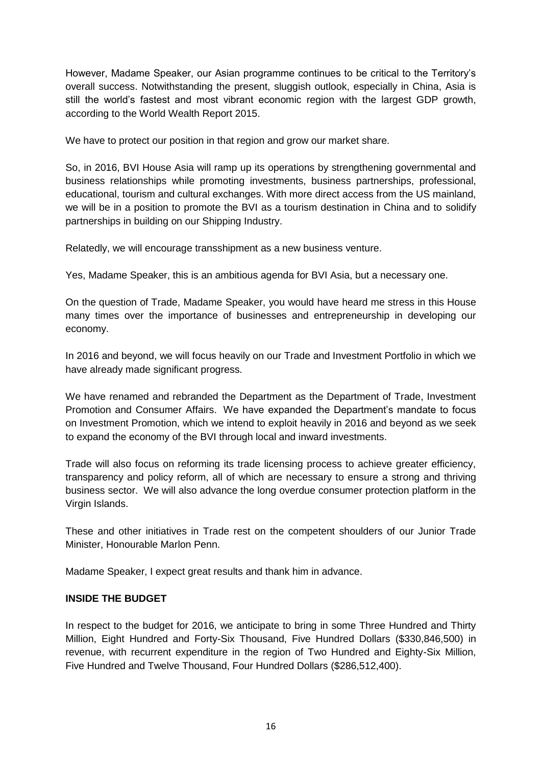However, Madame Speaker, our Asian programme continues to be critical to the Territory's overall success. Notwithstanding the present, sluggish outlook, especially in China, Asia is still the world's fastest and most vibrant economic region with the largest GDP growth, according to the World Wealth Report 2015.

We have to protect our position in that region and grow our market share.

So, in 2016, BVI House Asia will ramp up its operations by strengthening governmental and business relationships while promoting investments, business partnerships, professional, educational, tourism and cultural exchanges. With more direct access from the US mainland, we will be in a position to promote the BVI as a tourism destination in China and to solidify partnerships in building on our Shipping Industry.

Relatedly, we will encourage transshipment as a new business venture.

Yes, Madame Speaker, this is an ambitious agenda for BVI Asia, but a necessary one.

On the question of Trade, Madame Speaker, you would have heard me stress in this House many times over the importance of businesses and entrepreneurship in developing our economy.

In 2016 and beyond, we will focus heavily on our Trade and Investment Portfolio in which we have already made significant progress.

We have renamed and rebranded the Department as the Department of Trade, Investment Promotion and Consumer Affairs. We have expanded the Department's mandate to focus on Investment Promotion, which we intend to exploit heavily in 2016 and beyond as we seek to expand the economy of the BVI through local and inward investments.

Trade will also focus on reforming its trade licensing process to achieve greater efficiency, transparency and policy reform, all of which are necessary to ensure a strong and thriving business sector. We will also advance the long overdue consumer protection platform in the Virgin Islands.

These and other initiatives in Trade rest on the competent shoulders of our Junior Trade Minister, Honourable Marlon Penn.

Madame Speaker, I expect great results and thank him in advance.

#### **INSIDE THE BUDGET**

In respect to the budget for 2016, we anticipate to bring in some Three Hundred and Thirty Million, Eight Hundred and Forty-Six Thousand, Five Hundred Dollars (\$330,846,500) in revenue, with recurrent expenditure in the region of Two Hundred and Eighty-Six Million, Five Hundred and Twelve Thousand, Four Hundred Dollars (\$286,512,400).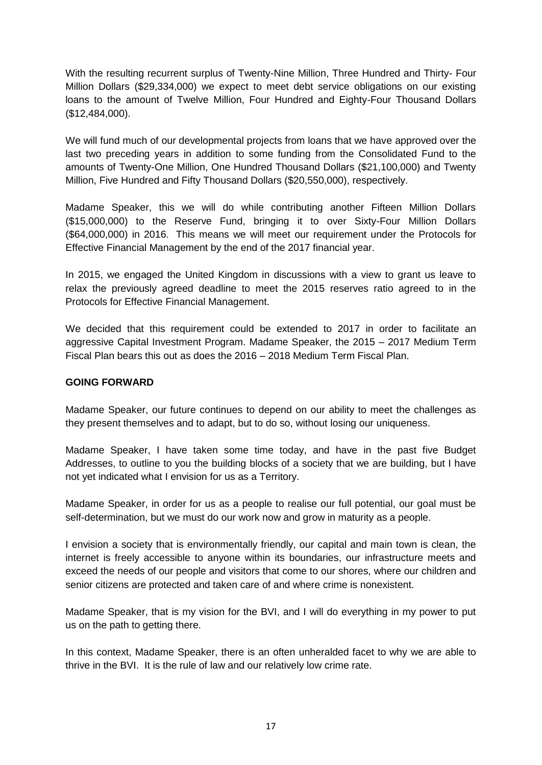With the resulting recurrent surplus of Twenty-Nine Million, Three Hundred and Thirty- Four Million Dollars (\$29,334,000) we expect to meet debt service obligations on our existing loans to the amount of Twelve Million, Four Hundred and Eighty-Four Thousand Dollars (\$12,484,000).

We will fund much of our developmental projects from loans that we have approved over the last two preceding years in addition to some funding from the Consolidated Fund to the amounts of Twenty-One Million, One Hundred Thousand Dollars (\$21,100,000) and Twenty Million, Five Hundred and Fifty Thousand Dollars (\$20,550,000), respectively.

Madame Speaker, this we will do while contributing another Fifteen Million Dollars (\$15,000,000) to the Reserve Fund, bringing it to over Sixty-Four Million Dollars (\$64,000,000) in 2016. This means we will meet our requirement under the Protocols for Effective Financial Management by the end of the 2017 financial year.

In 2015, we engaged the United Kingdom in discussions with a view to grant us leave to relax the previously agreed deadline to meet the 2015 reserves ratio agreed to in the Protocols for Effective Financial Management.

We decided that this requirement could be extended to 2017 in order to facilitate an aggressive Capital Investment Program. Madame Speaker, the 2015 – 2017 Medium Term Fiscal Plan bears this out as does the 2016 – 2018 Medium Term Fiscal Plan.

#### **GOING FORWARD**

Madame Speaker, our future continues to depend on our ability to meet the challenges as they present themselves and to adapt, but to do so, without losing our uniqueness.

Madame Speaker, I have taken some time today, and have in the past five Budget Addresses, to outline to you the building blocks of a society that we are building, but I have not yet indicated what I envision for us as a Territory.

Madame Speaker, in order for us as a people to realise our full potential, our goal must be self-determination, but we must do our work now and grow in maturity as a people.

I envision a society that is environmentally friendly, our capital and main town is clean, the internet is freely accessible to anyone within its boundaries, our infrastructure meets and exceed the needs of our people and visitors that come to our shores, where our children and senior citizens are protected and taken care of and where crime is nonexistent.

Madame Speaker, that is my vision for the BVI, and I will do everything in my power to put us on the path to getting there.

In this context, Madame Speaker, there is an often unheralded facet to why we are able to thrive in the BVI. It is the rule of law and our relatively low crime rate.